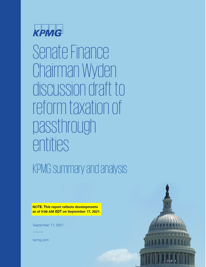

Senate Finance Chairman Wyden discussion draft to reform taxation of passthrough entities

KPMG summary and analysis

**NOTE: This report reflects developments** as of 9:00 AM EDT on September 17, 2021.

September 17, 2021



kpmg.com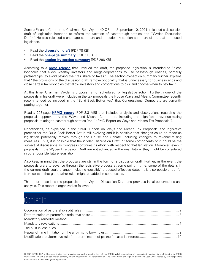Senate Finance Committee Chairman Ron Wyden (D-OR) on September 10, 2021, released a discussion draft of legislation intended to reform the taxation of passthrough entities (the "Wyden Discussion Draft)." He also released a one-page summary and a section-by-section summary of the draft proposed legislation.

- Read the **[discussion draft](https://www.finance.senate.gov/imo/media/doc/Pass-through%20Changes%20Discussion%20Draft%20Legislative%20Text.pdf)** [PDF 78 KB]
- Read the **[one-page summary](https://www.finance.senate.gov/imo/media/doc/Wyden%20Pass-through%20Reform%20One%20Pager.pdf)** [PDF 115 KB]
- Read the **[section-by-section summary](https://www.finance.senate.gov/imo/media/doc/Wyden%20Pass-through%20Reform%20Section%20by%20Section.pdf)** [PDF 296 KB]

According to a **[press release](https://www.finance.senate.gov/chairmans-news/wyden-unveils-proposal-to-close-loopholes-allowing-wealthy-investors-mega-corporations-to-use-partnerships-to-avoid-paying-tax)** that unveiled the draft, the proposed legislation is intended to "close loopholes that allow wealthy investors and mega-corporations to use passthough entities, primarily partnerships, to avoid paying their fair share of taxes." The section-by-section summary further explains that "the provisions of the discussion draft remove optionality that is unnecessary for business ends and close certain tax loopholes that allow investors and corporations to pick and choose when to pay tax."

At this time, Chairman Wyden's proposal is not scheduled for legislative action. Further, none of the proposals in his draft were included in the tax proposals the House Ways and Means Committee recently recommended be included in the "Build Back Better Act" that Congressional Democrats are currently putting together.

Read a 203-page **[KPMG report](https://assets.kpmg/content/dam/kpmg/us/pdf/2021/09/tnf-tax-proposals-budget-reconciliation-approved-ways-means-sep16-2021.pdf)** [PDF 2.3 MB] that includes analysis and observations regarding the proposals approved by the Ways and Means Committee, including the significant revenue-raising proposals relating to passthrough entities (the "KPMG Report on Ways and Means Tax Proposals").

Nonetheless, as explained in the KPMG Report on Ways and Means Tax Proposals, the legislative process for the Build Back Better Act is still evolving and it is possible that changes could be made as legislation potentially moves through the House and Senate, including changes to revenue-raising measures. Thus, it is possible that the Wyden Discussion Draft, or some components of it, could be the subject of discussions as Congress continues its effort with respect to that legislation. Moreover, even if proposals in the Wyden Discussion Draft are not advanced in the near future, they might be considered in other possible future legislation.

Also keep in mind that the proposals are still in the form of a discussion draft. Further, in the event the proposals were to advance through the legislative process at some point in time, some of the details in the current draft could change, including (possibly) proposed effective dates. It is also possible, but far from certain, that grandfather rules might be added in some cases.

This report describes the proposals in the Wyden Discussion Draft and provides initial observations and analysis. This report is organized as follows:

### Contents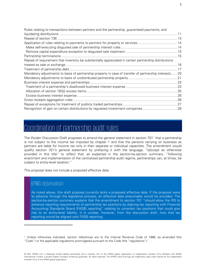| Rules relating to transactions between partners and the partnership, guaranteed payments, and           |  |
|---------------------------------------------------------------------------------------------------------|--|
|                                                                                                         |  |
|                                                                                                         |  |
|                                                                                                         |  |
|                                                                                                         |  |
|                                                                                                         |  |
|                                                                                                         |  |
| Repeal of requirement that inventory be substantially appreciated in certain partnership distributions  |  |
|                                                                                                         |  |
|                                                                                                         |  |
| Mandatory adjustments to basis of partnership property in case of transfer of partnership interests  20 |  |
|                                                                                                         |  |
|                                                                                                         |  |
|                                                                                                         |  |
|                                                                                                         |  |
|                                                                                                         |  |
|                                                                                                         |  |
|                                                                                                         |  |
| Recognition of gain on certain distributions by regulated investment companies28                        |  |

### <span id="page-2-0"></span>Coordination of partnership audit rules

The Wyden Discussion Draft proposes to amend the general statement in section 70[1](#page-2-1)<sup>1</sup> that a partnership is not subject to the income tax imposed by chapter 1 and that the persons carrying on business as partners are liable for income tax only in their separate or individual capacities. The amendment would qualify section 701's general statement by prefacing it with the language, "[e]xcept as otherwise provided in this title" to reflect that, as explained in the section-by-section summary, "following enactment and implementation of the centralized partnership audit regime, partnerships can, at times, be subject to entity-level taxation."

This proposal does not include a proposed effective date.

#### KPMG observation

As noted above, this draft proposal currently lacks a proposed effective date. If the proposal were to advance through the legislative process, an effective date presumably would be provided. The section-by-section summary explains that the amendment to section 701 "should allow the IRS to enhance reporting requirements of partnership tax positions by aligning tax reporting with Financial Accounting Standards Board (FASB) reporting" relating to uncertain tax positions that could give rise to an entity-level liability. It is unclear, however, from the discussion draft, how that tax reporting would be aligned with FASB reporting.

<span id="page-2-1"></span><sup>1</sup> Unless otherwise indicated, section references are to the Internal Revenue Code of 1986, as amended (the "Code") or the applicable regulations promulgated pursuant to the Code (the "regulations").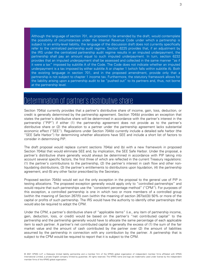Although the language of section 701, as proposed to be amended by the draft, would contemplate the possibility of circumstances under the Internal Revenue Code under which a partnership is subject to an entity-level liability, the language of the discussion draft does not currently specifically refer to the centralized partnership audit regime. Section 6225 provides that, if an adjustment by the IRS under the centralized partnership audit regime results in an imputed underpayment, the partnership shall pay an amount equal to such imputed underpayment. In turn, section 6232 provides that an imputed underpayment shall be assessed and collected in the same manner "as if it were a tax" imposed by subtitle A of the Code. The Code does not indicate whether an imputed underpayment is a tax imposed by either subtitle A or chapter 1 (which falls within subtitle A). Both the existing language in section 701, and in the proposed amendment, provide only that a partnership is not subject to chapter 1 income tax. Furthermore, the statutory framework allows for the liability arising upon a partnership audit to be "pushed out" to its partners and, thus, not borne at the partnership level.

### <span id="page-3-0"></span>Determination of partner's distributive share

Section 704(a) currently provides that a partner's distributive share of income, gain, loss, deduction, or credit is generally determined by the partnership agreement. Section 704(b) provides an exception that states the partner's distributive share will be determined in accordance with the partner's interest in the partnership ("PIP") if either (1) the partnership agreement does not provide as to the partner's distributive share or (2) the allocation to a partner under the partnership agreement lacks substantial economic effect ("SEE"). Regulations under Section 704(b) currently include a detailed safe harbor (the "SEE Safe Harbor") for determining whether allocations have SEE and include a short list of factors to consider in determining PIP.

The draft proposal would replace current sections 704(a) and (b) with a new framework in proposed Section 704(a) that would eliminate SEE and, by implication, the SEE Safe Harbor. Under the proposal, a partner's distributive share generally would always be determined in accordance with PIP taking into account several specific factors, the first three of which are reflected in the current Treasury regulations: (1) the partner's contributions to the partnership, (2) the partner's interest in cash flow and other nonliquidating distributions, (3) the partner's entitlements to distributions upon liquidation, (4) the partnership agreement, and (5) any other factor prescribed by the Secretary.

Proposed section 704(b) would set out the only exception in the proposal to the general use of PIP in testing allocations. The proposed exception generally would apply only to "controlled partnerships" and would require that such partnerships use the "consistent percentage method" ("CPM"). For purposes of this exception, a controlled partnership is one in which two or more members of a controlled group (within the meaning of Section 267(f)) own (within the meaning of section 267(e)(3)) 50% or more of the capital or profits of such partnership. The IRS would have the authority to identify other partnerships that would also be required to adopt the CPM.

Under the CPM, a partner's distributive share of "applicable items" (i.e., any item of partnership income, gain, deduction, loss, or credit) would be based on the partner's "net contributed capital" to the partnership and the partnership generally would have to allocate the same percentage of each applicable item to each partner. A partner's net contributed capital is generally the excess of (1) the sum of the fair market value and the amount of cash contributed by the partner over (2) the amount of liabilities assumed by the partnership in connection with any contribution by the partner. A partnership that is subject to the CPM would be required to report that it is subject to the CPM.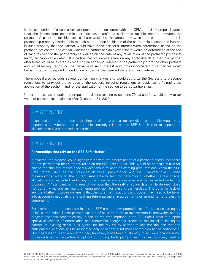If the economics of a controlled partnership are inconsistent with the CPM, the draft proposal would treat the inconsistent economics (or "excess share") as a deemed taxable transfer between the partners. A partner's taxable excess share would be the amount by which the partner's interest in partnership property distributable to such partner upon liquidation of the partnership exceeds the interest in such property that the partner would have if the partner's interest were determined based on the partner's net contributed capital. Whether a partner has an excess share would be determined at the end of each tax year of the partnership as well as on the date of any revaluation of the partnership's assets (each, an "applicable date"). If a partner has an excess share on any applicable date, then the partner effectively would be treated as receiving an additional interest in the partnership from the other partners and would be required to include the value of such interest in its gross income. No other partner would be permitted a corresponding deduction or loss for the deemed transfer of such interest.

The proposal also includes several conforming changes and would authorize the Secretary to prescribe regulations to carry out the purpose of the section, including regulations or guidance to "simplify the application of the section" and for the application of the section to tiered partnerships.

Under the discussion draft, the proposed revisions relating to sections 704(a) and (b) would apply to tax years of partnerships beginning after December 31, 2023.

### KPMG observation

If enacted in its current form, the impact of the proposal on any given partnership would vary depending on whether that partnership currently relies on the SEE Safe Harbor to support its allocations or is a controlled partnership.

#### KPMG observation

#### **Partnerships that rely on the SEE Safe Harbor**

If enacted, the proposal could significantly affect the determination of a partner's distributive share for any partnership that currently relies on the SEE Safe Harbor. This would be particularly true for any partnership that makes special allocations in reliance on existing presumptions within the SEE Safe Harbor, such as the "value-equals-basis" presumption and the "five-year rule." Those presumptions relate to the current substantiality test for determining whether certain special allocations are respected and many current special allocations may not be respected under the proposed PIP standard. In this regard, we note that the draft effective date, while delayed, does not currently include any grandfathering provision for existing partnerships. The potential lack of any grandfathering provision means that the potential impact of the proposal may need to be taken into account in negotiating and drafting future partnership agreements or amendments to existing agreements.

For example, the proposed elimination of SEE creates new potential risks for so-called tax equity "flip" partnerships. These partnerships are often used to make investments in renewable energy projects and their economics rely in part on the presumptions in the SEE Safe Harbor to support special allocations of depreciation and renewable energy tax credits to the so-called tax equity partner. In existing deals, it is typical for the tax equity partner to assume the risk that the anticipated allocations will be respected only once they fund their contribution to the partnership. Until the funding is actually contributed, however, it has been customary to include a change-in-law provision to allow the partner to opt out of funding. Participants in such transactions may need to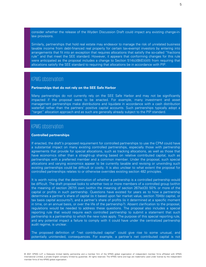consider whether the release of the Wyden Discussion Draft could impact any existing change-inlaw provisions.

Similarly, partnerships that hold real estate may endeavor to manage the risk of unrelated business taxable income from debt-financed real property for certain tax-exempt investors by entering into arrangements that fit into an exception that requires allocations that satisfy the so-called "fractions rule" and that meet the SEE standard. However, it appears that conforming changes for this rule were anticipated as the proposal includes a change to Section  $514(c)(9)(E)(i)(II)$  from requiring that allocations satisfy the SEE standard to requiring that allocations be in accordance with PIP.

#### KPMG observation

#### **Partnerships that do not rely on the SEE Safe Harbor**

Many partnerships do not currently rely on the SEE Safe Harbor and may not be significantly impacted if the proposal were to be enacted. For example, many investment and asset management partnerships make distributions and liquidate in accordance with a cash distribution waterfall rather than the partners' positive capital accounts. Such partnerships typically adopt a "target" allocation approach and as such are generally already subject to the PIP standard.

#### KPMG observation

#### **Controlled partnerships**

If enacted, the draft's proposed requirement for controlled partnerships to use the CPM could have a substantial impact on many existing controlled partnerships, especially those with partnership agreements that provide for special allocations, such as tracking allocations, as well as those that have economics other than a straight-up sharing based on relative contributed capital, such as partnerships with a preferred member and a common member. Under the proposal, such special allocations and varying economics appear to be currently taxable and revising or unwinding such existing partnerships could be difficult or costly. It is also unclear to what extent the proposal for controlled partnerships relates to or otherwise overrides existing section 482 principles.

It is worth noting that the determination of whether a partnership is a controlled partnership would be difficult. The draft proposal looks to whether two or more members of a controlled group (within the meaning of section 267(f) own (within the meaning of section 267(e)(3)) 50% or more of the capital or profits in such partnership. Questions have existed for years as to how a partnership determines a partner's share of capital (is it based upon fair market value, section 704(b) capital, or tax basis capital accounts?), and a partner's share of profits (is it determined at a specific moment in time, on an annual basis, or over the life of the partnership?). Absent clarification to the proposal, regulations would be needed to address these questions. The proposal also includes a special reporting rule that would require each controlled partnership to submit a statement that such partnership is a partnership to which the new rules apply. The purpose of this special reporting rule, and any potential impact a failure to comply with it could have under the centralized partnership audit regime, is unclear.

The proposed definition of "net contributed capital" could give rise to some unusual, and potentially unintended, consequences. For example, a partner's net contributed capital is not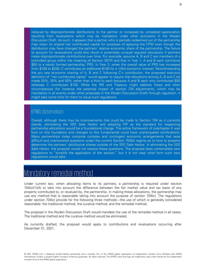reduced by disproportionate distributions to the partner or increased by unrealized appreciation resulting from revaluations which may be mandatory under other provisions in the Wyden Discussion Draft. As such, it appears that a partner who is partially redeemed out of the partnership may retain its original net contributed capital for purposes of applying the CPM even though the distribution may have changed the partners' relative economic share of the partnership. The failure to account for revaluations could also result in potentially unusual required allocations if partners make disproportionate contributions over time. For example, assume A, B and C are members of a controlled group within the meaning of Section 267(f) and that in Year 1, A and B each contribute \$50 to a newly formed partnership, PRS. In Year 2, when the overall value of PRS has increased from \$100 to \$200, C contributes an additional \$100 for a 1/3rd economic interest. Notwithstanding the pro rata economic sharing of A, B and C following C's contribution, the proposed statutory definition of "net contributed capital" would appear to require that allocations among A, B and C be made 25%, 25% and 50% rather than a third to each because A and B each only contributed \$50 whereas C contributed \$100. While the IRS and Treasury might address these and other circumstances (for instance the potential impact of section 734 adjustments, which may be mandatory in all events under other proposals in the Wyden Discussion Draft) through regulation, it might take some time for them to issue such regulations.

#### KPMG observation

Overall, although there may be improvements that could be made to Section 704 as it currently stands, eliminating the SEE Safe Harbor and adopting PIP as the standard for respecting partnership allocations would be a foundational change. The entire framework of subchapter K was built on this foundation and changes to this fundamental could have unanticipated ramifications. Many partnerships today comprise complex and contingent economic arrangements that raise difficult and unanswered questions under the current Section 704(b) regime as to how to properly determine the partners' distributive shares outside of the SEE Safe Harbor. In eliminating the SEE Safe Harbor, the proposal would not resolve these questions. The proposal does contemplate new regulations to "simplify the application of the section," but it is not clear what form such new regulations would take.

### <span id="page-6-0"></span>Mandatory remedial method

Under current law, when allocating items to its partners, a partnership is required under section 704(c)(1)(A) to take into account the difference between the fair market value and tax basis of any property contributed to, or revalued by, the partnership. In making these allocations, the partnership may use any method that is reasonable taking into account the purpose of section 704(c). The regulations under section 704(c) provide for the following three methods—the use of which is generally considered reasonable: the traditional method, the curative method, and the remedial method.

The proposal in the Wyden Discussion Draft would mandate the use of the remedial method in all cases. The traditional method and the curative method would be eliminated.

As currently drafted, the proposal would apply to contributions and revaluations occurring after December 31, 2021.

6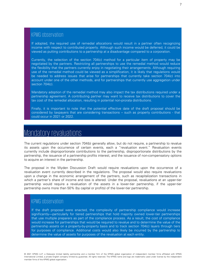If adopted, the required use of remedial allocations would result in a partner often recognizing income with respect to contributed property. Although such income would be deferred, it could be viewed as putting contributions to a partnership at a disadvantage compared to a corporation.

Currently, the selection of the section 704(c) method for a particular item of property may be negotiated by the partners. Restricting all partnerships to use the remedial method would reduce the flexibility that the partners currently enjoy in negotiating their arrangements. Although requiring use of the remedial method could be viewed as a simplification, it is likely that regulations would be needed to address issues that arise for partnerships that currently take section 704(c) into account under one of the other methods, and for partnerships that currently use aggregation under section 704(c).

Mandatory adoption of the remedial method may also impact the tax distributions required under a partnership agreement. A contributing partner may want to receive tax distributions to cover the tax cost of the remedial allocation, resulting in potential non-prorata distributions.

Finally, it is important to note that the potential effective date of the draft proposal should be considered by taxpayers that are considering transactions – such as property contributions - that could occur in 2021 or 2022.

### <span id="page-7-0"></span>Mandatory revaluations

The current regulations under section 704(b) generally allow, but do not require, a partnership to revalue its assets upon the occurrence of certain events, each a "revaluation event." Revaluation events currently include disproportionate contributions to the partnership, disproportionate distributions by the partnership, the issuance of a partnership profits interest, and the issuance of non-compensatory options to acquire an interest in the partnership.

The proposal in the Wyden Discussion Draft would require revaluations upon the occurrence of a revaluation event currently described in the regulations. The proposal would also require revaluations upon a change in the economic arrangement of the partners, such as recapitalization transactions in which a partner's share of income and loss is altered. Under the proposal, revaluations at an upper-tier partnership would require a revaluation of the assets in a lower-tier partnership, if the upper-tier partnership owns more than 50% (by capital or profits) of the lower-tier partnership.

### KPMG observation

If the draft proposal were enacted, the complexity of partnership compliance would increase significantly—particularly for tiered partnerships that hold majority owned lower-tier partnerships that use multiple preparers as part of the compliance process. As a result, the cost of compliance would increase for partnerships that would be required to revalue and to determine the value of the partnership assets on a property-by-property basis and to track section 704(c) layers through tiers for purposes of compliance. Additional costs would also likely be incurred by the partnership to determine the value of assets for purposes of the revaluation at each entity.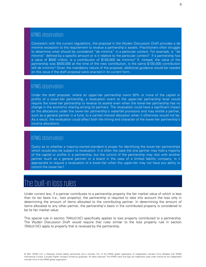Consistent with the current regulations, the proposal in the Wyden Discussion Draft provides a de minimis exception to the requirement to revalue a partnership's assets. Practitioners often struggle to determine what should be considered "de minimis" in a particular context. For example, is "de minimis" defined by a specific amount or is it relative to the particular context? If a partnership has a value of \$500 million, is a contribution of \$100,000 de minimis? If, instead, the value of the partnership was \$500,000 at the time of the new contribution, is the same \$100,000 contribution still de minimis? Given the mandatory nature of the proposal, additional guidance would be needed on this issue if the draft proposal were enacted in its current form.

#### KPMG observation

Under the draft proposal, where an upper-tier partnership owns 50% or more of the capital or profits of a lower-tier partnership, a revaluation event at the upper-tier partnership level would require the lower-tier partnership to revalue its assets even when the lower-tier partnership has no change in the economic sharing among its partners. The revaluation could have a significant impact on the allocations under the lower-tier partnership's waterfall provisions and may entitle a partner, such as a general partner in a fund, to a carried interest allocation when it otherwise would not be. As a result, the revaluation could affect both the timing and character of the lower-tier partnership's income allocations.

#### KPMG observation

Query as to whether a majority-owned standard is proper for identifying the lower-tier partnerships which would also be subject to revaluation. It is often the case the one partner may hold a majority of the capital or profits in a partnership, but the control of the partnership may rest with another partner (such as a general partner) or a board in the case of a limited liability company. Is it appropriate to require a revaluation of a lower-tier when the upper-tier may not have any ability to control the lower-tier?

### <span id="page-8-0"></span>The built-in loss rules

Under current law, if a partner contributes to a partnership property the fair market value of which is less than its tax basis (i.e., loss property), the partnership is required to take into account the loss only in determining the amount of items allocated to the contributing partner. In determining the amount of items allocated to any other partner, the partnership's basis in the contributed property is considered to be its fair market value.

This special rule in section 704(c)(1)(C) specifically applies to loss property contributed to a partnership. The Wyden Discussion Draft would require that rules similar to the loss property rule in section 704(c)(1)(C) apply to property that is revalued by the partnership.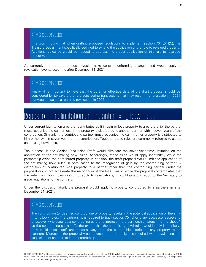It is worth noting that when drafting proposed regulations to implement section 704(c)(1)(C), the Treasury Department specifically declined to extend the application of the rule to revalued property. Additional guidance would be needed to address the proper application of this rule to revalued property.

As currently drafted, the proposal would make certain conforming changes and would apply to revaluation events occurring after December 31, 2021.

#### KPMG observation

Finally, it is important to note that the potential effective date of the draft proposal should be considered by taxpayers that are considering transactions that may result in a revaluation in 2021 but would result in a required revaluation in 2022.

### <span id="page-9-0"></span>Repeal of time limitation on the anti-mixing bowl rules

Under current law, when a partner contributes built-in gain or loss property to a partnership, the partner must recognize the gain or loss if the property is distributed to another partner within seven years of the contribution. Similarly, the contributing partner must recognize the gain if other property is distributed to him or her within seven years of the contribution. Together these rules are commonly referred to as the anti-mixing bowl rules.

The proposal in the Wyden Discussion Draft would eliminate the seven-year time limitation on the application of the anti-mixing bowl rules. Accordingly, these rules would apply indefinitely while the partnership owns the contributed property. In addition, the draft proposal would limit the application of the anti-mixing bowl rules in both cases to the recognition of gain by the contributing partner. A distribution of contributed loss property to a partner other than the contributing partner under the proposal would not accelerate the recognition of the loss. Finally, while the proposal contemplates that the anti-mixing bowl rules would not apply to revaluations, it would give discretion to the Secretary to issue regulations to the contrary.

Under the discussion draft, the proposal would apply to property contributed to a partnership after December 31, 2021.

### KPMG observation

The contribution (or deemed contribution) of property results in the potential application of the antimixing bowl rules. The partnership is required to track section 704(c) (and any successor asset) and a taxpayer who acquires a contributing partner's interest in the partnership "steps into the shoes" as the contributing partner. To the extent that the anti-mixing bowl rules would apply indefinitely, they could raise significant concerns any time the partnership distributes any property to its partners. Moreover, the proposal would increase the due diligence required when evaluating the acquisition of an interest in the partnership.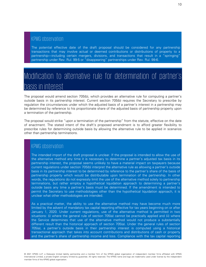The potential effective date of the draft proposal should be considered for any partnership transactions that may involve actual or deemed contributions or distributions of property to a partnership—including certain mergers, divisions, and transactions that result in a "springing" partnership under Rev. Rul. 99-5 or "disappearing" partnerships under Rev. Rul. 99-6.

## <span id="page-10-0"></span>Modification to alternative rule for determination of partner's basis in interest

The proposal would amend section 705(b), which provides an alternative rule for computing a partner's outside basis in its partnership interest. Current section 705(b) requires the Secretary to prescribe by regulation the circumstances under which the adjusted basis of a partner's interest in a partnership may be determined by reference to his proportionate share of the adjusted basis of partnership property upon a termination of the partnership.

The proposal would strike "upon a termination of the partnership" from the statute, effective on the date of enactment. The stated intent of the draft's proposed amendment is to afford greater flexibility to prescribe rules for determining outside basis by allowing the alternative rule to be applied in scenarios other than partnership terminations.

#### KPMG observation

The intended import of the draft proposal is unclear. If the proposal is intended to allow the use of the alternative method any time it is necessary to determine a partner's adjusted tax basis in its partnership interest, the proposal seems unlikely to have a material impact on taxpayers because current regulations under section 705(b) interpret the alternative rule as allowing a partner's outside basis in its partnership interest to be determined by reference to the partner's share of the basis of partnership property which would be distributable upon termination of the partnership. In other words, the regulations do not expressly limit the use of the alternative method solely to partnership terminations, but rather employ a hypothetical liquidation approach to determining a partner's outside basis any time a partner's basis must be determined. If the amendment is intended to permit the Secretary to use methodologies other than the hypothetical liquidation approach, it is unclear what other methodologies are intended.

As a practical matter, the ability to use the alternative method may have become much more limited by the advent of mandatory tax capital reporting effective for tax years beginning on or after January 1, 2020. Under current regulations, use of the alternative method is permitted in two situations: (i) where the general rule of section 705(a) cannot be practically applied and (ii) where the Service determines that use of the alternative method would not produce a substantially different result than the historical approach of section 705(a). Under the general rules of section 705(a), a partner's outside basis in their partnership interest is computed using a historical transactional approach that takes into account contributions and distributions of cash or property and the partner's share of partnership income and loss. Compliance with the tax capital reporting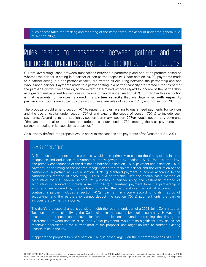rules necessitates the tracking and reporting of the items taken into account under the general rule of section 705(a).

# <span id="page-11-0"></span>Rules relating to transactions between partners and the partnership, guaranteed payments, and liquidating distributions

Current law distinguishes between transactions between a partnership and one of its partners based on whether the partner is acting in a partner or non-partner capacity. Under section 707(a), payments made to a partner acting in a non-partner capacity are treated as occurring between the partnership and one who is not a partner. Payments made to a partner acting in a partner capacity are treated either as part of the partner's distributive share or, to the extent determined without regard to income of the partnership, as a guaranteed payment for services or the use of capital under section 707(c). Implicit in this distinction is that payments for services rendered in a **partner capacity** that are determined **with regard to partnership income** are subject to the distributive share rules of section 704(b) and not section 707.

The proposal would amend section 707 to repeal the rules relating to guaranteed payments for services and the use of capital under section 707(c) and expand the scope of section 707(a) to include such payments. According to the section-by-section summary, section 707(a) would govern any payments "that are not actual or in substance distributions under section 731, treating them as payments to a partner not acting in its capacity as a partner."

As currently drafted, the proposal would apply to transactions and payments after December 31, 2021.

#### KPMG observation

At first blush, the import of this proposal would seem primarily to change the timing of the income recognition and deduction of payments currently governed by section 707(c). Under current law, one primary consequence of the distinction between a section 707(a) payment and a section 707(c) payment is the timing of the income recognition to the recipient partner and the deduction to the partnership. A partner includes a section 707(c) guaranteed payment in income according to the partnership's method of accounting. Thus, if a partnership uses the accrual-basis method of accounting for U.S. federal income tax purposes, a partner using the cash-basis method of accounting is required to include a section 707(c) guaranteed payment from the partnership in income when accrued by the partnership under the partnership's method of accounting. In contrast, a partner includes a section 707(a) payment in income according to its method of accounting, and the partnership cannot deduct the section 707(a) payment until the partner includes the payment in income.

The draft's proposed change is consistent with the recommendation of a 2001 Joint Committee on Taxation study on simplifying the Code, cited in the section-by-section summary. However, if enacted, the proposal could have significant implications beyond conforming the timing the differences between section 707(a) and 707(c) payments, would raise significant new issues not otherwise addressed in the current draft of the proposal, and might do little to address existing uncertainties in the law.

It appears the proposal to repeal section 707(c) is based largely on the recommendations of a 1999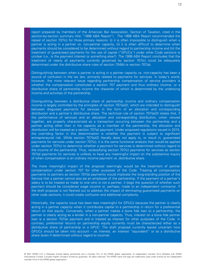report prepared by members of the American Bar Association, Section of Taxation, cited in the section-by-section summary (the "1999 ABA Report"). The 1999 ABA Report recommended the repeal of section 707(c) for three primary reasons: (i) it is often impossible to distinguish when a partner is acting in a partner vs. non-partner capacity, (ii) it is often difficult to determine when payments should be considered to be determined without regard to partnership income and (iii) the treatment of guaranteed payments for the use of capital ("GPUCs") under other Code sections is unclear (i.e., is the payment interest or something else?). The 1999 ABA Report concludes that the treatment of nearly all payments currently governed by section 707(c) could be adequately determined under the distributive share rules of section 704(b) or section 707(a).

Distinguishing between when a partner is acting in a partner capacity vs. non-capacity has been a source of confusion in the tax law, primarily related to payments for services. In today's world, however, the more relevant issue regarding partnership compensation of service providers is whether the compensation constitutes a section 707 payment and thus ordinary income, or a distributive share of partnership income the character of which is determined by the underlying income and activities of the partnership.

Distinguishing between a distributive share of partnership income and ordinary compensation income is largely controlled by the principles of section 707(a)(2), which are intended to distinguish between disguised payments for services in the form of an allocation and corresponding distribution and a partner's distributive share. The technical rule of section 707(a)(2) states that, if the performance of services and an allocation and corresponding distribution, when viewed together, are properly characterized as a transaction occurring between the partnership and a partner acting other than in his capacity as a member of the partnership, the allocation and distribution will be treated as a section 707(a) payment. Under proposed regulations issued in 2015, the overriding factor in this determination is whether the payment is subject to significant entrepreneurial risk. While section 707(a)(2) literally does not apply to, or result in, guaranteed payments for services under section 707(c), it is the same functional analysis that would be applied under section 707(c) to determine whether a payment for services is determined without regard to the income of the partnership. Thus, reclassifying section 707(c) payments for services as section 707(a) payments for services is unlikely to have any meaningful impact on the substantive inquiry of when compensation is an ordinary income payment vs. distributive share.

The more meaningful impact of the proposal seemingly would be the treatment of partner compensation under section 707 for other purposes of the Code. Treating all compensatory payments to partners as section 707(a) payments would implicate the long-standing position of the Service that a partner cannot also be an employee of the partnership. If the payment of a partner's salary is to be treated as made to one who is not a partner, it begs the question of whether such payment should be considered wage income or, perhaps, made to an independent contractor. If the draft proposal is not fleshed out to address the impact of eliminating guaranteed payments on other code sections, it could create confusion and additional complexity.

Historically, the capacity issue has been less meaningful for GPUCs because the partner is clearly acting in a partner capacity when it contributes capital to a partnership in return for a preferential return on that equity. Conversely, when a partner makes a bona fide loan to a partnership, the partner is clearly acting as a lender in a non-partner capacity. Thus, interest on a bona fide partner loan is a section 707(a) payment and is treated as interest for other purposes of the Code. In contrast, preferential returns on partnership equity currently must be characterized either as a distributive share of partnership or a GPUC. The draft proposal currently leaves uncertain how GPUCs should be taken into account – as interest, an interest "equivalent" or as a distributive share (even if determined without regard to income).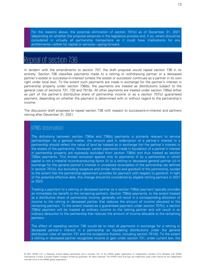For the reasons above, the potential elimination of section 707(c) as of December 31, 2021 (depending on whether the proposal advances in the legislative process and, if so, when) should be considered in virtually all partnership transactions as it could have implications for any entitlements—either for capital or services—going forward.

### <span id="page-13-0"></span>Repeal of section 736

In tandem with the amendments to section 707, the draft proposal would repeal section 736 in its entirety. Section 736 classifies payments made to a retiring or withdrawing partner or a deceased partner's estate or successor-in-interest (unless the estate or successor continues as a partner in its own right under local law). To the extent such payments are made in exchange for the partner's interest in partnership property under section 736(b), the payments are treated as distributions subject to the general rules of sections 731, 732 and 751(b). All other payments are treated under section 736(a) either as part of the partner's distributive share of partnership income or as a section 707(c) guaranteed payment, depending on whether the payment is determined with or without regard to the partnership's income.

The discussion draft proposes to repeal section 736 with respect to successors-in-interest and partners retiring after December 31, 2021.

#### KPMG observation

The dichotomy between section 736(a) and 736(b) payments is primarily relevant to service partnerships. As a general matter, the amount paid in redemption of a partner's interest in a partnership should reflect the value of (and be treated as in exchange for) the partner's interest in the assets of the partnership. However, certain payments made in liquidation of a partner's interest in partnership property are expressly excluded from section 736(b) and thus treated as section 736(a) payments. This limited exclusion applies only to payments (i) by a partnership in which capital is not a material income-producing factor (ii) to a retiring or deceased general partner (iii) in exchange for the general partner's interest in unrealized receivables of the partnership (as defined in section 751(c), but excluding recapture and similar items) and goodwill of the partnership, except to the extent that the partnership agreement provides for payment with respect to goodwill. In light of the potential effective date, this change should be considered by eligible retiring partners in 2021 or 2022.

Treating a payment to a retiring or deceased partner as a section 736(a) payment typically provides an immediate tax benefit to the remaining partners. Section 736(a) payments, to the extent treated as a distributive share of partnership income, generally will result in a corresponding allocation of income to the retiring or deceased partner that reduces the amount of income allocated to the remaining partners. To the extent treated as a guaranteed payment under section 707(c), a section 736(a) payment will be treated as ordinary income to the retiring partner and will result in an ordinary deduction to the partnership that reduces the amount of income allocable to the remaining partners.

The effect of repealing section 736 would be to treat all payments in exchange for a retiring or deceased partner's interest in a partnership as liquidating distributions under the general distribution rules of section 731 and the exceptions thereto, including section 751(b). To the extent a retiring or deceased partner recognizes income or gain under section 731, under current law, the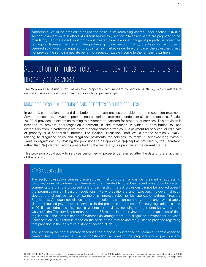partnership would be entitled to adjust the basis in its remaining assets under section 734 if a section 754 election is in effect. As discussed below, section 734 adjustments are proposed to be mandatory. To the extent a distribution is treated as a sale or exchange of property between the retiring or deceased partner and the partnership under section 751(b), the basis in the property deemed sold would be adjusted to equal its fair market value. In either case, the adjustment may not provide the same immediate benefit of reduced taxable income to the remaining partners.

### <span id="page-14-0"></span>Application of rules relating to payments to partners for property or services

The Wyden Discussion Draft makes two proposals with respect to section 707(a)(2), which relates to disguised sales and disguised payments involving partnerships.

#### <span id="page-14-1"></span>Make self-executing disguised sale of partnership interest rules

In general, contributions to, and distributions from, partnerships are subject to nonrecognition treatment. Several exceptions, however, prevent nonrecognition treatment under certain circumstances. Section 707(a)(2) provides an exception relating to payments to partners for property or services. This provision is intended to prevent nonrecognition treatment in circumstances in which a contribution to, and distribution from, a partnership are more properly characterized as (1) a payment for services, or (2) a sale of property or a partnership interest. The Wyden Discussion Draft would amend section 707(a)(2), relating to disguised sales and disguised payments for services, to make it self-executing without Treasury regulations, by revising the provisions to be applicable "[e]xcept as provided by the Secretary" rather than "[u]nder regulations prescribed by the Secretary," as provided in the current statute.

This provision would apply to services performed or property transferred after the date of the enactment of the provision.

#### KPMG observation

The section-by-section summary makes clear that this potential change is aimed at addressing disguised sales of partnership interests and is intended to foreclose recent assertions by certain commentators that the disguised sale of partnership interest provisions cannot be applied absent the promulgation of Treasury regulations. Many practitioners and taxpayers, however, already viewed the disguised sale of partnership interest rules to be applicable without Treasury Regulations. Although not discussed in the section-by-section summary, the change would apply also to disguised payments for services. In the preamble to proposed Treasury regulations issued in 2015 that addressed disguised payments for services, including arrangements known as "fee waivers," the Treasury Department and the IRS made clear their view that, in the absence of final regulations, "the determination of whether an arrangement is a disguised payment for services under section 707(a)(2)(A) is made on the basis of the statute and the guidance provided regarding that provision in the legislative history of section 707(a)(2)."

The section-by-section summary describes the proposal as intended to "correct" certain asserted "ambiguities." However, a rule of construction included in the proposal would preclude any

14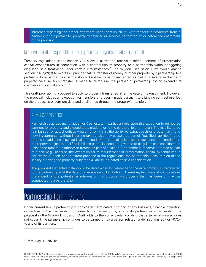inference regarding the proper treatment under section 707(a) with respect to payments from a partnership to a partner for property transferred or services performed on or before the enactment of the provision.

#### <span id="page-15-0"></span>Remove capital expenditure exception to disguised sale treatment

Treasury regulations under section 707 allow a partner to receive a reimbursement of preformation capital expenditures in connection with a contribution of property to a partnership without triggering disguised sale treatment under certain circumstances.<sup>[2](#page-15-2)</sup> The Wyden Discussion Draft would amend section 707(a)(2)(B) to expressly provide that "a transfer of money or other property by a partnership to a partner or by a partner to a partnership will not fail to be characterized as part of a sale or exchange of property because such transfer is made to reimburse the partner or partnership for an expenditure chargeable to capital account."

This draft provision is proposed to apply to property transferred after the date of its enactment. However, the proposal includes an exception for transfers of property made pursuant to a binding contract in effect on the proposal's enactment date and at all times through the property's transfer.

#### KPMG observation

Partnerships across many industries (real estate in particular) rely upon this exception to reimburse partners for property and expenditures made prior to the partnership's formation. The inability to be reimbursed for actual outlays would not only limit the ability to extract cash (and potentially fund new investments) without incurring tax, but also may cause a portion of "qualified liabilities" to be treated as additional disguised sale proceeds. Under the disguised sale regulations, the contribution of property subject to qualified liabilities generally does not give rise to disguised sale consideration unless the transfer is otherwise treated as part of a sale. If the transfer is otherwise treated as part of a sale (e.g., because the exception for reimbursement of preformation capital expenditures is not available), then, to the extent provided in the regulations, the partnership's assumption of the liability or taking the property subject to a liability is treated as sale consideration.

The proposal's effective date would be determined by reference to the date property is transferred to the partnership (not the date of a subsequent distribution). Therefore, taxpayers should consider the impact of the potential enactment of this proposal on property that has been or may be contributed to a partnership.

# <span id="page-15-1"></span>Partnership terminations

Under current law, a partnership is considered terminated if no part of any business, financial operation, or venture of the partnership continues to be carried on by any of its partners in a partnership. The proposal in the Wyden Discussion Draft adds to the current rule providing that a termination also does not occur if the partnership continues to be carried on by a person related (under sections 267 or 707(b)) to any of its partners.

<span id="page-15-2"></span><sup>2</sup> Treas. Reg. § 1.707-4(d).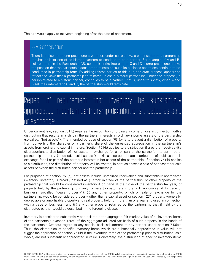The rule would apply to tax years beginning after the date of enactment.

#### KPMG observation

There is a dispute among practitioners whether, under current law, a continuation of a partnership requires at least one of its historic partners to continue to be a partner. For example, if A and B, sole partners in the Partnership AB, sell their entire interests to C and D, some practitioners take the position that the partnership does not terminate because its business operations continue to be conducted in partnership form. By adding related parties to this rule, the draft proposal appears to reflect the view that a partnership terminates unless a historic partner (or, under the proposal, a person related to a historic partner) continues to be a partner. That is, under this view, when A and B sell their interests to C and D, the partnership would terminate.

# <span id="page-16-0"></span>Repeal of requirement that inventory be substantially appreciated in certain partnership distributions treated as sale or exchange

Under current law, section 751(b) requires the recognition of ordinary income or loss in connection with a distribution that results in a shift in the partners' interests in ordinary income assets of the partnership (so-called, "hot assets"). The intended purpose of section 751(b) is to prevent a distribution of property from converting the character of a partner's share of the unrealized appreciation in the partnership's assets from ordinary to capital in nature. Section 751(b) applies to a distribution if a partner receives (i) a disproportionate distribution of hot assets in exchange for all or part of the partner's interest in other partnership property (so-called, "cold assets") or (ii) a disproportionate distribution of cold assets in exchange for all or part of the partner's interest in hot assets of the partnership. If section 751(b) applies to a distribution, the distribution of property will be treated, in part, as a taxable sale of hot assets for cold assets between the distributee partner and the partnership.

For purposes of section 751(b), hot assets include unrealized receivables and substantially appreciated inventory. Inventory is broadly defined as (i) stock in trade of the partnership, or other property of the partnership that would be considered inventory if on hand at the close of the partnership tax year, or property held by the partnership primarily for sale to customers in the ordinary course of its trade or business (so-called "dealer property"), (ii) any other property, which on sale or exchange by the partnership, would be considered property other than a capital asset or section 1231 property (generally, depreciable or amortizable property and real property held for more than one year and used in connection with a trade or business), and (iii) any other property retained by the partnership that if held by the distributee partner would be described in the foregoing clauses.

Inventory is considered substantially appreciated if the aggregate fair market value of all inventory items of the partnership exceeds 120% of the aggregate adjusted tax basis of such property in the hands of the partnership (without regard to any special basis adjustment of any partner under section 743(b)). Thus, the distribution of specific inventory items which are substantially appreciated in value will not trigger the application of section 751(b) if the inventory items of the partnership prior to distribution, as a whole, are not substantially appreciated in value. Conversely, the distribution of specific inventory items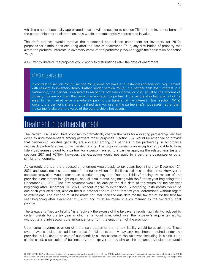which are not substantially appreciated in value will be subject to section 751(b) if the inventory items of the partnership prior to distribution, as a whole, are substantially appreciated in value.

The draft proposal would remove the substantial appreciation component for inventory for 751(b) purposes for distributions occurring after the date of enactment. Thus, any distribution of property that alters the partners' interests in inventory items of the partnership would trigger the application of section 751(b).

As currently drafted, the proposal would apply to distributions after the date of enactment.

#### KPMG observation

In contrast to section 751(b), section 751(a) does not have a "substantial appreciation" requirement with respect to inventory items. Rather, under section 751(a), if a partner sells their interest in a partnership, the partner is required to recognize ordinary income (or loss) equal to the amount of ordinary income (or loss) that would be allocated to partner if the partnership had sold all of its asset for fair market value immediately prior to the transfer of the interest. Thus, section 751(a) looks to the partner's share of unrealized gain (or loss) in the partnership's hot assets, rather than the partner's share of the value of the partnership's hot assets.

### <span id="page-17-0"></span>Treatment of partnership debt

The Wyden Discussion Draft proposes to dramatically change the rules for allocating partnership liabilities owed to unrelated lenders among partners for all purposes. Section 752 would be amended to provide that partnership liabilities generally are allocated among the partners in the partnership in accordance with each partner's share of partnership profits. The proposal contains an exception applicable to bona fide indebtedness owed to a partner (or a person related to a partner applying the relatedness tests of sections 267 and 707(b)); however, the exception would not apply to a partner's guarantee or other similar arrangement.

As currently drafted, the proposed amendment would apply to tax years beginning after December 31, 2021 and does not include a grandfathering provision for liabilities existing at that time. However, a separate provision would create an election to pay the "net tax liability" arising by reason of the provision's enactment in eight equal, annual installments, beginning with the first tax year beginning after December 31, 2021. The first payment would be due on the due date of the return for the tax year beginning after December 31, 2021, without regard to extensions. Succeeding installments would be due each year after that, also on the due date for the return for that tax year, determined without regard to extensions. The election must be made not later than the due date for the tax return for the first tax year beginning after December 31, 2021 and must be made in such manner as the Secretary shall provide.

The taxpayer's "net tax liability" is effectively the excess of the taxpayer's regular tax liability, reduced by certain credits for the tax year in which an amount is included, over the taxpayer's regular tax liability without taking into account the amount arising from the enactment of the provision.

Upon certain events, payment of the unpaid portion of the net tax liability would be accelerated. These events would include an addition to tax for failure to timely pay any installment required under the provision, a liquidation or sale of substantially all the assets of the taxpayer (including in a title 11 or similar case), a cessation of business by the taxpayer, or any similar circumstance. Acceleration would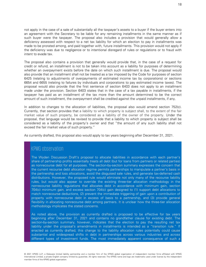not apply in the case of a sale of substantially all the taxpayer's assets to a buyer if the buyer enters into an agreement with the Secretary to be liable for any remaining installments in the same manner as if such buyer were the taxpayer. The proposal also includes a provision that would generally allow a deficiency assessed with respect to a net tax liability for which an election to pay in installments was made to be prorated among, and paid together with, future installments. This provision would not apply if the deficiency was due to negligence or to intentional disregard of rules or regulations or to fraud with intent to evade tax.

The proposal also contains a provision that generally would provide that, in the case of a request for credit or refund, an installment is not to be taken into account as a liability for purposes of determining whether an overpayment exists before the date on which such installment is due. The proposal would also provide that an installment shall not be treated as a tax imposed by the Code for purposes of section 6425 (relating to adjustments of overpayments of estimated income tax by corporations) or sections 6654 and 6655 (relating to failures by individuals and corporations to pay estimated income taxes). The proposal would also provide that the first sentence of section 6403 does not apply to an installment made under the provision. Section 6403 states that in the case of a tax payable in installments, if the taxpayer has paid as an installment of the tax more than the amount determined to be the correct amount of such installment, the overpayment shall be credited against the unpaid installments, if any.

In addition to changes to the allocation of liabilities, the proposal also would amend section 752(c). Currently, that section provides that a liability to which property is subject shall, to the extent of the fair market value of such property, be considered as a liability of the owner of the property. Under the proposal, that language would be revised to provide that a liability to which property is subject shall be considered as a liability of the property's owner and that "the amount of any such liability shall not exceed the fair market value of such property."

As currently drafted, this proposal also would apply to tax years beginning after December 31, 2021.

#### KPMG observation

The Wyden Discussion Draft's proposal to allocate liabilities in accordance with each partner's share of partnership profits essentially treats all debt (but for loans from partners or related parties) as nonrecourse debt for all purposes. The section-by-section summary expresses the concern that the current recourse debt allocation regime permits partnerships to manipulate a partner's basis in the partnership and loss allocations, avoid the disguised sale rules, and generate tax-deferred cash distributions. However, the proposed rule would eliminate not only many of the recourse liability rules, but would also appear to override the existing three-tier allocation methodology in the nonrecourse liability regulations that allocates debt in accordance with minimum gain, section 704(c) minimum gain, and excess section 704(c) gain designed to (1) support debt allocations to match nonrecourse deductions, (2) prevent the immediate triggering of gain upon a contribution of property with nonrecourse debt in excess of basis to a partnership, and (3) provide general flexibility in allocating nonrecourse debt among partners. It is unclear how the three-tier allocation methodology implicates the stated concerns.

As noted above, the provision as currently drafted is proposed to be effective for tax years beginning after December 31, 2021 and contains no grandfather clause for existing debt. The section-by-section summary, however, indicates that the election to pay the resulting net tax liability under the proposal's amendments in installments is intended as a "transition rule." If enacted as currently drafted, this change to the liability allocation rules potentially could cause substantial and widespread shifts in debt in partnerships across various industries and across different types of investment funds. The most immediately apparent consequence of such a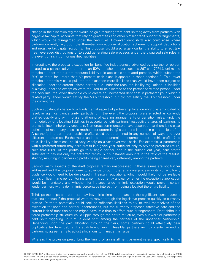change in the allocation regime would be gain resulting from debt shifting away from partners with negative tax capital accounts that rely on guarantees and other similar credit support arrangements, which would be disregarded under the new rules. However, debt shifts also could arise where partners currently rely upon the three-tier nonrecourse allocation scheme to support deductions and negative tax capital accounts. This proposal would also largely curtail the ability to effect taxfree, leveraged distributions or to avoid generating sale proceeds under the disguised sale rules in the event of a shift of nonqualified liabilities.

Interestingly, the proposal's exception for bona fide indebtedness advanced by a partner or person related to a partner utilizes a more-than 50% threshold under sections 267 and 707(b), unlike the threshold under the current recourse liability rule applicable to related persons, which substitutes 80% or more for "more than 50 percent each place it appears in those sections." This lower threshold potentially could pull into the exception more liabilities than would have been subject to allocation under the current related partner rule under the recourse liability regulations. If liabilities qualifying under the exception were required to be allocated to the partner or related person under the new rule, the lower threshold could create an unexpected debt shift in partnerships in which a related party lender would satisfy the 50% threshold, but did not satisfy the 8% threshold under the current rule.

Such a substantial change to a fundamental aspect of partnership taxation might be anticipated to result in significant uncertainty, particularly in the event the proposal were enacted as currently drafted quickly and with no grandfathering of existing arrangements or transition rules. First, the methodology of allocating liabilities in accordance with partners' respective shares of partnership profits is, itself, inherently uncertain. Numerous commentators have observed that there is no clear definition of (and many possible methods for determining) a partner's interest in partnership profits. A partner's interest in partnership profits could be determined in any number of ways and over different timeframes. Furthermore, under some economic arrangements, partnership profits (and thus, liability allocations) could vary widely on a year-over-year basis. For example, a partnership with a preferred return may earn profits in a given year sufficient only to pay the preferred return, such that 100% of the profits go to a single partner, and in the subsequent year, earn profits sufficient to pay not only the preferred return, but substantial amounts in the ratio of the residual sharing, resulting in partnership profits being shared very differently among the partners.

Second, many aspects of the draft proposal remain unaddressed. If these issues are not further addressed and the proposal were to advance through the legislative process in its current form, guidance would need to be developed in Treasury regulations, which would likely not be available for a significant time period. For instance, it is currently unclear whether the exception's application would be mandatory and whether, for instance, a de minimis exception would prevent certain lender partners with a de minimis percentage interest from being allocated the entire liability.

Third, partnerships and partners may have little time to prepare for the significant consequences that could ensue if the proposal were to move through the legislative process quickly as currently drafted. Partners potentially could seek to refinance liabilities to try to avail themselves of the exception for bona fide partner indebtedness, but the currently proposed effective date and the current lack of transition period might leave little time to affect such arrangements. Debt shifts in a tiered partnership structure could ripple through the entire structure, with a lower-tier partnership debt shift triggering, in turn, a debt shift among the partners of the upper-tier partnership. Depending upon the gain allocation through the tiers, some partners could effectively bear duplicative tax from debt shifts at different tiers. If feasible, partners might consider amending partnership agreements to adjust allocations to manage this issue.

Whereas the provision prescribing the timing of an installment payment refers specifically to the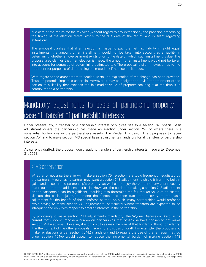due date of the return for the tax year (without regard to any extensions), the provision prescribing the timing of the election refers simply to the due date of the return, and is silent regarding extensions.

The proposal clarifies that if an election is made to pay the net tax liability in eight equal installments, the amount of an installment would not be taken into account as a liability in determining whether an overpayment exists prior to the date on which such installment is due. The proposal also clarifies that if an election is made, the amount of an installment would not be taken into account for purposes of determining estimated tax. The proposal is silent, however, as to the treatment for purposes of determining estimated tax if no election is made.

With regard to the amendment to section 752(c), no explanation of the change has been provided. Thus, its potential impact is uncertain. However, it may be designed to revise the treatment of the portion of a liability that exceeds the fair market value of property securing it at the time it is contributed to a partnership.

### <span id="page-20-0"></span>Mandatory adjustments to basis of partnership property in case of transfer of partnership interests

Under present law, a transfer of a partnership interest only gives rise to a section 743 special basis adjustment where the partnership has made an election under section 754 or where there is a substantial built-in loss in the partnership's assets. The Wyden Discussion Draft proposes to repeal section 754 and to make section 743 special basis adjustments mandatory for all transfers of partnership interests.

As currently drafted, the proposal would apply to transfers of partnership interests made after December 31, 2021.

### KPMG observation

Whether or not a partnership will make a section 754 election is a topic frequently negotiated by the partners. A purchasing partner may want a section 743 adjustment to shield it from the built-in gains and losses in the partnership's property, as well as to enjoy the benefit of any cost recovery that results from the additional tax basis. However, the burden of making a section 743 adjustment on the partnership can be significant, requiring it to determine the fair market value of its assets, allocate the basis adjustment among the assets, and then track the recovery of the basis adjustment for the benefit of the transferee partner. As such, many partnerships would prefer to avoid having to make section 743 adjustments, particularly where transfers are expected to be infrequent and only with respect to smaller interests in the partnership.

By proposing to make section 743 adjustments mandatory, the Wyden Discussion Draft (in its current form) would impose a burden on partnerships that otherwise have chosen to not make section 754 elections. However, it is difficult to assess the size of that burden without considering it in the context of the other proposals made in the discussion draft. For example, the proposals to make revaluations under section 704(b) mandatory and to require the use of the remedial method under section 704(c) would appear to reduce the incremental burden of making section 743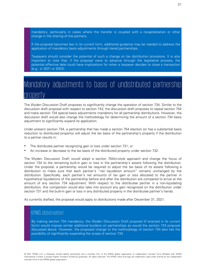mandatory, particularly in cases where the transfer is coupled with a recapitalization or other change in the sharing of the partners.

If the proposal becomes law in its current form, additional guidance may be needed to address the application of mandatory basis adjustments through tiered partnerships.

Taxpayers should consider the potential of such a change on tax distribution provisions. It is also important to note that, if the proposal were to advance through the legislative process, the potential effective date could have implications for when a taxpayer decides to close a transaction (e.g., in 2021 or 2022).

## <span id="page-21-0"></span>Mandatory adjustments to basis of undistributed partnership property

The Wyden Discussion Draft proposes to significantly change the operation of section 734. Similar to the discussion draft proposal with respect to section 743, the discussion draft proposes to repeal section 754 and make section 734 special basis adjustments mandatory for all partnership distributions. However, the discussion draft would also change the methodology for determining the amount of a section 734 basis adjustment to significantly expand its application.

Under present section 734, a partnership that has made a section 754 election (or has a substantial basis reduction to distributed property) will adjust the tax basis of the partnership's property if the distribution to a partner results in:

- The distributee partner recognizing gain or loss under section 731; or
- An increase or decrease to the tax basis of the distributed property under section 732.

The Wyden Discussion Draft would adopt a section 704(c)-style approach and change the focus of section 734 to the remaining built-in gain or loss in the partnership's assets following the distribution. Under the proposal, a partnership would be required to adjust the tax basis of its assets following a distribution to make sure that each partner's "net liquidation amount" remains unchanged by the distribution. Specifically, each partner's net amounts of tax gain or loss allocated to the partner in hypothetical liquidations of the partnership before and after the distribution are compared to arrive at the amount of any section 734 adjustment. With respect to the distributee partner in a non-liquidating distribution, this comparison would also take into account any gain recognized on the distribution under section 731 and the built-in gain or loss in any distributed property in the distributee partner's hands.

As currently drafted, the proposal would apply to distributions made after December 31, 2021.

#### KPMG observation

By making section 734 mandatory, the Wyden Discussion Draft proposal (if enacted in its current form) would impose similar additional burdens on partnerships as would the section 743 proposal discussed above. However, the proposed change to the methodology of section 734 also has the possibility of significantly expanding the scope of section 734.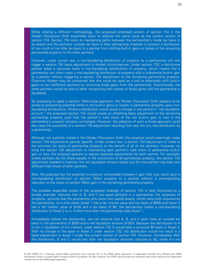While utilizing a different methodology, the proposed amended version of section 734 in the Wyden Discussion Draft essentially looks to address the same issue as the current version of section 734. Section 734 looks to maintaining parity between the partnership's inside tax basis in its assets and the partners' outside tax basis in their partnership interests to prevent a distribution of too much or too little tax basis to a partner from shifting built-in gains or losses in the remaining partnership property to the other partners.

However, under current law, a non-liquidating distribution of property by a partnership will only trigger a section 734 basis adjustment in limited circumstances. Under section 732, a distributee partner takes a carryover basis in non-liquidating distributions of property, which means that a partnership can often make a non-liquidating distribution of property with a substantial built-in gain to a partner without triggering a section 734 adjustment to the remaining partnership property. Chairman Wyden may be concerned that this could be used as a tool to effectively shift built-in gains to tax indifferent partners by removing those gains from the partnership. Economically, the other partners would be able to defer recognizing their shares of those gains until the partnership is liquidated.

By proposing to apply a section 704(c)-style approach, the Wyden Discussion Draft appears to be aimed at preventing potential shifts in the built-in gains or losses in partnership property upon nonliquidating distributions. Where a distribution would cause a change in any partner's "net liquidation amount," the proposed section 734 would create an offsetting basis adjustment to the remaining partnership property such that the partner's total share of the net built-in gain or loss in the partnership's property remains unchanged. However, the adoption of such a broad approach could also raise the possibility of a section 734 adjustment resulting from any non pro rata distribution by a partnership.

Although not explicitly stated in the Wyden Discussion Draft, the proposal would seemingly make section 734 adjustments partner specific. Under current law, a section 734 adjustment is made to the common tax basis of partnership property to the benefit of all of the partners. However, by tying the section 734 adjustment to maintaining each partner's total share of partnership built-in gain or loss, the proposal appears to require separate adjustments for each partner. For example, where partners do not share equally in the economics of all partnership property, the section 734 adjustment needed to maintain the net liquidation amount status quo for one partner may look very different than those of other partners.

Also, the proposal has the potential to avoid an unintended increase in gain that may result upon a non-liquidating distribution of section 704(c) property to a partner without a corresponding reduction to the share of section 704(c) gain in the remaining partnership property.

The possible expanded scope of the proposed redesign of section 734 is best illustrated by a simple example. Assume that A, B, and C are equal partners in a partnership. For purposes of simplicity, assume that the partnership only owns two capital assets, which were both acquired by the partnership. At a time when Asset 1 has a fair market value and tax basis of \$900 and Asset 2 has a fair market value of \$100 and a tax basis of \$0, the partnership makes a non-liquidating distribution of Asset 2 to A. A short time later the partnership sells Asset 1.

Immediately before the distribution, we can assume that A, B, and C each have an outside tax basis in the partnership of \$300 and a net liquidation amount of \$33. Because the distribution to A is not in liquidation of A's interest, under section 732 A would take a carryover \$0 basis in Asset 2. With no change to the basis in Asset 2 under section 732, the distribution would not result in a basis adjustment to Asset 1 under the current version of section 734. However, immediately after the distribution, B and C would see their net liquidation amounts reduced to \$0, while A's net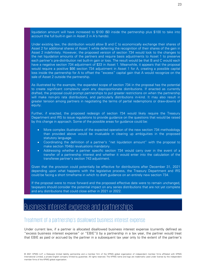liquidation amount will have increased to \$100 (\$0 inside the partnership plus \$100 to take into account the full built-in gain in Asset 2 in A's hands).

Under existing law, the distribution would allow B and C to economically exchange their shares of Asset 2 for additional shares of Asset 1 while deferring the recognition of their shares of the gain in Asset 2 indefinitely. However, the proposed version of section 734 would look to the changes to the net liquidation amounts of the partners and require basis adjustments to Asset 1 to preserve each partner's pre-distribution net built-in gain or loss. The result would be that B and C would each have a negative section 734 adjustment of \$33 in Asset 1. Meanwhile, it appears that the proposal would require a positive \$66 section 734 adjustment in Asset 1 for A, creating a possible capital loss inside the partnership for A to offset the "excess" capital gain that A would recognize on the sale of Asset 2 outside the partnership.

As illustrated by the example, the expanded scope of section 734 in the proposal has the potential to create significant complexity upon any disproportionate distributions. If enacted as currently drafted, the proposal could prompt partnerships to put greater restrictions on when the partnership will make non-pro rata distributions, and particularly distributions in-kind. It may also result in greater tension among partners in negotiating the terms of partial redemptions or draw-downs of equity.

Further, if enacted, the proposed redesign of section 734 would likely require the Treasury Department and IRS to issue regulations to provide guidance on the questions that would be raised by this change in approach. Some of the possible areas for guidance could be:

- More complex illustrations of the expected operation of the new section 734 methodology than provided above would be invaluable in clearing up ambiguities in the proposed statutory language.
- Coordinating the definition of a partner's "net liquidation amount" with the proposal to make section 704(b) revaluations mandatory.
- Addressing whether a partner specific section 734 would carry over in the event of a transfer of a partnership interest and whether it would enter into the calculation of the transferee partner's section 743 adjustment.

Given that the provision could potentially be effective for distributions after December 31, 2021 depending upon what happens with the legislative process, the Treasury Department and IRS could be facing a short timeframe in which to draft guidance on an entirely new section 734.

If the proposal were to move forward and the proposed effective date were to remain unchanged, taxpayers should consider the potential impact on any series distributions that are not yet complete and any distributions that could close either in 2021 or 2022.

### <span id="page-23-0"></span>Business interest expense and partnerships

#### <span id="page-23-1"></span>Treatment of a partnership's disallowed business interest expense

Under current law, if a partner is allocated disallowed business interest expense (currently defined as "excess business interest expense" or "EBIE")) by a partnership in a tax year, the partner would treat that EBIE as paid or accrued by the partner in a subsequent tax year only to the extent of the partner's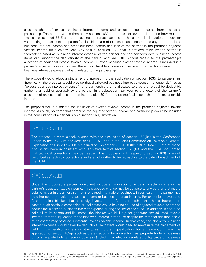allocable share of excess business interest income and excess taxable income from the same partnership. The partner would then apply section 163(j) at the partner level to determine how much of the paid or accrued EBIE and other business interest expense of the partner is deductible in such tax year, taking into account the partner's allocable share of excess taxable income and any other unrelated business interest income and other business income and loss of the partner in the partner's adjusted taxable income for such tax year. Any paid or accrued EBIE that is not deductible by the partner is thereafter treated as business interest expense of the partner and the partner's own business income items can support the deductibility of the paid or accrued EBIE without regard to the partnership's allocation of additional excess taxable income. Further, because excess taxable income is included in a partner's adjusted taxable income, the excess taxable income can be used to allow for a deduction of business interest expense that is unrelated to the partnership.

The proposal would adopt a stricter entity approach to the application of section 163(j) to partnerships. Specifically, the proposal would provide that disallowed business interest expense (no longer defined as "excess business interest expense") of a partnership that is allocated to a partner would be deductible (rather than paid or accrued) by the partner in a subsequent tax year to the extent of the partner's allocation of excess business interest income plus 30% of the partner's allocable share of excess taxable income.

The proposal would eliminate the inclusion of excess taxable income in the partner's adjusted taxable income. As such, no items that comprise the adjusted taxable income of a partnership would be included in the computation of a partner's own section 163(j) limitation.

#### KPMG observation

The proposal is more closely aligned with the discussion of section 163(j)(4) in the Conference Report to the Tax Cuts and Jobs Act ("TCJA") and in the Joint Committee on Taxation's General Explanation of Public Law 115-97 issued on December 20, 2018 (the "Blue Book"). Both of these discussions were inconsistent with legislative text of section 163(j)(4), and the Blue Book noted that technical corrections may be needed. The proposals with respect to section 163(j) are not described as technical corrections and are not drafted to be retroactive to the date of enactment of the TCJA.

#### KPMG observation

Under the proposal, a partner would not include an allocation of excess taxable income in the partner's adjusted taxable income. This proposed change may be adverse to any partner that incurs debt to invest in a partnership that is engaged in a trade or business, in particular if the partner has no other source of adjusted taxable income or business interest income. For example, a leveraged C corporation blocker that is solely invested in a fund partnership that holds interests in passthrough portfolio companies or real estate would have no source of adjusted taxable income to deduct the blocker's business interest expense during the life of the fund. In addition, if the fund sells all of its assets and liquidates, the blocker would likely not generate any adjusted taxable income from the liquidation of the blocker's interest in the fund despite the fact that the fund's sale of its assets may produce substantial excess taxable income. In that case, the blocker's business interest expense would never be deductible. Taxpayers would need to reevaluate the placement of debt in partnership ownership structures. Further, qualification for an exception from the application of section 163(j), such as the exceptions for an electing real property trade or business or for a regulated utility trade or business (including an electing regulated utility trade or business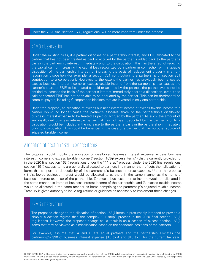under the 2020 final section 163(j) regulations) will be more important under the proposal.

#### KPMG observation

Under the existing rules, if a partner disposes of a partnership interest, any EBIE allocated to the partner that has not been treated as paid or accrued by the partner is added back to the partner's basis in the partnership interest immediately prior to the disposition. This has the effect of reducing the capital gain or increasing the capital loss recognized by a partner in connection with a taxable disposition of the partnership interest, or increasing the basis of replacement property in a nonrecognition disposition (for example, a section 721 contribution to a partnership or section 351 contribution to a corporation). However, to the extent the partner has previously been allocated excess business interest income or excess taxable income from the partnership that causes the partner's share of EBIE to be treated as paid or accrued by the partner, the partner would not be entitled to increase the basis of the partner's interest immediately prior to a disposition, even if the paid or accrued EBIE has not been able to be deducted by the partner. This can be detrimental to some taxpayers, including C corporation blockers that are invested in only one partnership.

Under the proposal, an allocation of excess business interest income or excess taxable income to a partner would no longer cause the partner's allocable share of the partnership's disallowed business interest expense to be treated as paid or accrued by the partner. As such, the amount of any disallowed business interest expense that has not been deducted by the partner prior to a disposition would be included in the increase to the partner's basis in the partnership immediately prior to a disposition. This could be beneficial in the case of a partner that has no other source of adjusted taxable income.

### <span id="page-25-0"></span>Allocation of section 163(j) excess items

The proposal would modify the allocation of disallowed business interest expense, excess business interest income and excess taxable income ("section 163(j) excess items") that is currently provided for in the 2020 final section 163(j) regulations under the "11 step" process. Under the 2020 final regulations, section 163(j) excess items are generally allocated to partners in a manner that reflects their allocation of items that support the deductibility of the partnership's business interest expense. Under the proposal (1) disallowed business interest would be allocated to partners in the same manner as the items of business interest expense of the partnership, (2) excess business interest income would be allocated in the same manner as items of business interest income of the partnership, and (3) excess taxable income would be allocated in the same manner as items comprising the partnership's adjusted taxable income. Treasury is given authority to issue regulations or guidance as necessary to implement these changes.

#### KPMG observation

The proposed change to the allocation of section 163(j) items is presumably intended to provide a simpler allocation regime than the complex "11 step" process in the 2020 final section 163(j) regulations. However, the proposed change could result in an allocation of excess section 163(j) items that may be viewed as a misallocation based on the economic positions of the partners.

For example, assume that A and B are equal partners and the partnership allocates the partnership's \$30 of business interest expense \$15 to A and \$15 to B for the current tax year.

25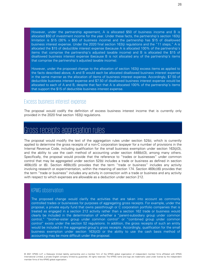However, under the partnership agreement, A is allocated \$50 of business income and B is allocated \$50 of investment income for the year. Under these facts, the partnership's section 163(j) limitation is \$15 (30%  $\times$  \$50 of business income) and the partnership has \$15 of disallowed business interest expense. Under the 2020 final section 163(j) regulations and the "11 steps," A is allocated the \$15 of deductible interest expense (because A is allocated 100% of the partnership's items that comprise the partnership's adjusted taxable income) and B is allocated the \$15 of disallowed business interest expense (because B is not allocated any of the partnership's items that comprise the partnership's adjusted taxable income).

However, under the proposed change to the allocation of section 163(j) excess items as applied to the facts described above, A and B would each be allocated disallowed business interest expense in the same manner as the allocation of items of business interest expense. Accordingly, \$7.50 of deductible business interest expense and \$7.50 of disallowed business interest expense would be allocated to each of A and B, despite that fact that A is allocated 100% of the partnership's items that support the \$15 of deductible business interest expense.

#### <span id="page-26-0"></span>Excess business interest expense

The proposal would codify the definition of excess business interest income that is currently only provided in the 2020 final section 163(j) regulations.

### <span id="page-26-1"></span>Gross receipts aggregation rules

The proposal would modify the text of the aggregation rules under section 52(b), which is currently applied to determine the gross receipts of a non-C corporation taxpayer for a number of provisions in the Internal Revenue Code, including qualification for the small business exemption under section 163(j)(3), and the ability to use the cash method of accounting under section 448(b)(3), among many others. Specifically, the proposal would provide that the reference to "trades or businesses" under common control that may be aggregated under section 52(b) includes a trade or business as defined in section 469(c)(5) or (6). Section 469(c)(5) provides that the term "trade or business" includes any activity involving research or experimentation, within the meaning of section 174. Section 469(c)(6) provides that the term "trade or business" includes any activity in connection with a trade or business and any activity with respect to which expenses are allowable as a deduction under section 212.

#### KPMG observation

The proposed change would clarify the activities that are taken into account as commonly controlled trades or businesses for purposes of aggregating gross receipts. For example, under the proposal, a private equity fund that owns passthrough or C corporation portfolio companies that is treated as engaged in a section 212 activity rather than a section 162 trade or business would clearly be included in the determination of whether a "parent-subsidiary group under common control," "brother-sister group under common control" or "combined group under common control" exists under the section 52 regulations. In addition, the gross receipts of such an entity would be included in the aggregated group's gross receipts. Accordingly, qualification for the small business exemption under section 163(j)(3) or the ability to use the cash basis method of accounting may be more difficult under the proposal.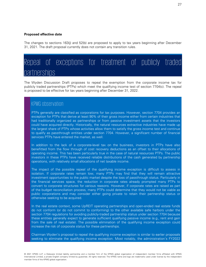#### **Proposed effective date**

The changes to sections 163(j) and 52(b) are proposed to apply to tax years beginning after December 31, 2021. The draft proposal currently does not contain any transition rules.

### <span id="page-27-0"></span>Repeal of exceptions for treatment of publicly traded partnerships

The Wyden Discussion Draft proposes to repeal the exemption from the corporate income tax for publicly traded partnerships (PTPs) which meet the qualifying income test of section 7704(c). The repeal is proposed to be effective for tax years beginning after December 31, 2022.

#### KPMG observation

PTPs generally are classified as corporations for tax purposes. However, section 7704 provides an exception for PTPs that derive at least 90% of their gross income either from certain industries that had traditionally organized as partnerships or from passive investment assets that the investors could have acquired directly. Historically, the natural resources extractive industries have made up the largest share of PTPs whose activities allow them to satisfy the gross income test and continue to qualify as passthrough entities under section 7704. However, a significant number of financial services PTPs have entered the market, as well.

In addition to the lack of a corporate-level tax on the business, investors in PTPs have also benefitted from the flow through of cost recovery deductions as an offset to their allocations of operating income. This has been particularly true in the case of natural resources PTPs. The public investors in these PTPs have received reliable distributions of the cash generated by partnership operations, with relatively small allocations of net taxable income.

The impact of the possible repeal of the qualifying income exception is difficult to assess in isolation. If corporate rates remain low, many PTPs may find that they will remain attractive investment opportunities to the public market despite the loss of passthrough status. Particularly in the financial services space, the reduction in corporate rates already prompted many PTPs to convert to corporate structures for various reasons. However, if corporate rates are raised as part of the budget reconciliation process, many PTPs could determine that they would not be viable as public corporations and may consider either going private to retain their partnership status or otherwise seeking to be acquired.

In the real estate context, some UpREIT operating partnerships and open-ended real estate funds do not conform (or do not commit to conforming) to the other available safe harbors under the section 7704 regulations for avoiding publicly-traded partnership status under section 7704 because these entities generally expect to generate sufficient qualifying passive income (e.g., rent and gain from the sale of real estate). The possible elimination of the qualifying income exception could increase the risk of corporate status for these partnerships.

Chairman Wyden's proposal to repeal the qualifying income exception is similar to earlier proposals seeking to eliminate the qualifying income exception. Most notably, the administration's FY2022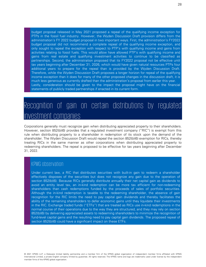budget proposal released in May 2021 proposed a repeal of the qualifying income exception for PTPs in the fossil fuel industry. However, the Wyden Discussion Draft provision differs from the administration's FY 2022 budget proposal in two important ways. First, the administration's FY2022 budget proposal did not recommend a complete repeal of the qualifying income exception, and only sought to repeal the exception with respect to PTP's with qualifying income and gains from activities relating to fossil fuels. This would allow have allowed PTP's with qualifying income and gains from real estate and qualifying investment activities to continue to be classified as partnerships. Second, the administration proposed that its FY2022 proposal not be effective until tax years beginning after December 31, 2026, which would have given natural resources PTPs four additional years to prepare for the repeal than is provided by the Wyden Discussion Draft. Therefore, while the Wyden Discussion Draft proposes a longer horizon for repeal of the qualifying income exception than it does for many of the other proposed changes in the discussion draft, it is much less generous as currently drafted than the administration's proposal from earlier this year. Lastly, consideration should be given to the impact the proposal might have on the financial statements of publicly traded partnerships if enacted in its current form.

### <span id="page-28-0"></span>Recognition of gain on certain distributions by regulated investment companies

Corporations generally must recognize gain when distributing appreciated property to their shareholders. However, section 852(b)(6) provides that a regulated investment company ("RIC") is exempt from this rule when distributing property to a shareholder in redemption of its stock upon the demand of the shareholder. The Wyden Discussion Draft would repeal the section 852(b)(6) exemption for RICs, thereby treating RICs in the same manner as other corporations when distributing appreciated property to redeeming shareholders. The repeal is proposed to be effective for tax years beginning after December 31, 2022.

#### KPMG observation

Under current law, a RIC that distributes securities with built-in gain to redeem a shareholder effectively disposes of the securities but does not recognize any gain due to the operation of section 852(b)(6). Because RICs generally distribute annually their net capital gain as dividends to avoid an entity level tax, an in-kind redemption can be more tax efficient for non-redeeming shareholders than cash redemptions funded by the proceeds of sales of portfolio securities. Although the in-kind redemption is taxable to the redeeming shareholder, the absence of gain recognition for the RIC limits the need to pay capital gain dividends and thereby facilitates the ability of the remaining shareholders to defer economic gains until they liquidate their investments in the RIC. Exchange traded funds ("ETFs") that are treated as RICs use in-kind redemptions in the normal course of their operations due to the way they are structured, and they may rely on section 852(b)(6) by delivering appreciated assets to redeeming shareholders to minimize the recognition of fund-level capital gains and the resulting need to pay capital gain dividends. The proposed repeal of section 852(b)(6) could have a significant impact on these ETFs.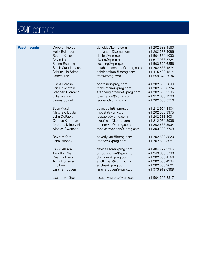# KPMG contacts

| Holly Belanger<br>hbelanger@kpmg.com<br>Robert Keller<br>rkeller@kpmg.com<br>David Lee<br>dwlee@kpmg.com<br>rrushing@kpmg.com<br>Shane Rushing<br>Sarah Staudenraus<br>sarahstaudenraus@kpmg.com | +1 202 533 4096<br>+1 504 584 1030<br>+1 617 988 5724<br>+1 503 820 6856<br>+1 202 533 4574<br>+1 415 490 4514<br>+1 559 840 2934 |
|--------------------------------------------------------------------------------------------------------------------------------------------------------------------------------------------------|-----------------------------------------------------------------------------------------------------------------------------------|
|                                                                                                                                                                                                  |                                                                                                                                   |
|                                                                                                                                                                                                  |                                                                                                                                   |
|                                                                                                                                                                                                  |                                                                                                                                   |
|                                                                                                                                                                                                  |                                                                                                                                   |
|                                                                                                                                                                                                  |                                                                                                                                   |
| Sabrina Ho Stimel<br>sabrinastimel@kpmg.com                                                                                                                                                      |                                                                                                                                   |
| James Tod<br>jtod@kpmg.com                                                                                                                                                                       |                                                                                                                                   |
| Ossie Borosh<br>oborosh@kpmg.com                                                                                                                                                                 | +1 202 533 5648                                                                                                                   |
| Jon Finkelstein<br>jfinkelstein@kpmg.com                                                                                                                                                         | +1 202 533 3724                                                                                                                   |
| Stephen Giordano<br>stephengiordano@kpmg.com                                                                                                                                                     | +1 202 533 3535                                                                                                                   |
| Julie Marion<br>juliemarion@kpmg.com                                                                                                                                                             | +1 312 665 1990                                                                                                                   |
| James Sowell<br>jsowell@kpmg.com                                                                                                                                                                 | +1 202 533 5710                                                                                                                   |
| Sean Austin<br>seanaustin@kpmg.com                                                                                                                                                               | +1 212 954 8304                                                                                                                   |
| <b>Matthew Busta</b><br>mbusta@kpmg.com                                                                                                                                                          | +1 202 533 3375                                                                                                                   |
| John DePaola<br>jdepaola@kpmg.com                                                                                                                                                                | +1 202 533 3031                                                                                                                   |
| Charles Kaufman<br>ckaufman@kpmg.com                                                                                                                                                             | +1 212 954 3936                                                                                                                   |
| Anthony Minervini<br>aminervini@kpmg.com                                                                                                                                                         | +1 202 533 3934                                                                                                                   |
| Monica Swanson<br>monicaswanson@kpmg.com                                                                                                                                                         | +1 303 382 7768                                                                                                                   |
| <b>Beverly Katz</b><br>beverlykatz@kpmg.com                                                                                                                                                      | +1 202 533 3820                                                                                                                   |
| John Rooney<br>jrooney@kpmg.com                                                                                                                                                                  | +1 202 533 3981                                                                                                                   |
| David Allison<br>davidallison@kpmg.com                                                                                                                                                           | +1 404 222 3266                                                                                                                   |
| timothyychan@kpmg.com<br><b>Timothy Chan</b>                                                                                                                                                     | +1 949 885 5730                                                                                                                   |
| Deanna Harris<br>dwharris@kpmg.com                                                                                                                                                               | +1 202 533 4156                                                                                                                   |
| Anna Holtsman<br>aholtsman@kpmg.com                                                                                                                                                              | +1 202 533 4334                                                                                                                   |
| ericlee@kpmg.com<br>Eric Lee                                                                                                                                                                     | +1 202 533 3601                                                                                                                   |
| Laraine Ruggeri<br>laraineruggeri@kpmg.com                                                                                                                                                       | +1 973 912 6369                                                                                                                   |
| Jacquelyn Gross<br>jacquelyngross@kpmg.com                                                                                                                                                       | +1 504 569 8817                                                                                                                   |